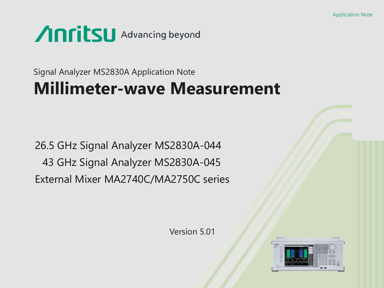## **Anritsu** Advancing beyond

### Signal Analyzer MS2830A Application Note **Millimeter-wave Measurement**

26.5 GHz Signal Analyzer MS2830A-044 43 GHz Signal Analyzer MS2830A-045 External Mixer MA2740C/MA2750C series

Version 5.01

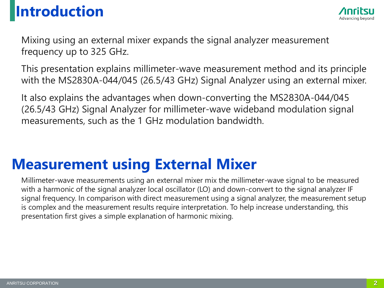### **Introduction**



Mixing using an external mixer expands the signal analyzer measurement frequency up to 325 GHz.

This presentation explains millimeter-wave measurement method and its principle with the MS2830A-044/045 (26.5/43 GHz) Signal Analyzer using an external mixer.

It also explains the advantages when down-converting the MS2830A-044/045 (26.5/43 GHz) Signal Analyzer for millimeter-wave wideband modulation signal measurements, such as the 1 GHz modulation bandwidth.

### **Measurement using External Mixer**

Millimeter-wave measurements using an external mixer mix the millimeter-wave signal to be measured with a harmonic of the signal analyzer local oscillator (LO) and down-convert to the signal analyzer IF signal frequency. In comparison with direct measurement using a signal analyzer, the measurement setup is complex and the measurement results require interpretation. To help increase understanding, this presentation first gives a simple explanation of harmonic mixing.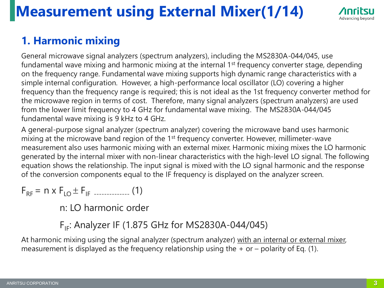## **Measurement using External Mixer(1/14)**



#### **1. Harmonic mixing**

General microwave signal analyzers (spectrum analyzers), including the MS2830A-044/045, use fundamental wave mixing and harmonic mixing at the internal 1<sup>st</sup> frequency converter stage, depending on the frequency range. Fundamental wave mixing supports high dynamic range characteristics with a simple internal configuration. However, a high-performance local oscillator (LO) covering a higher frequency than the frequency range is required; this is not ideal as the 1st frequency converter method for the microwave region in terms of cost. Therefore, many signal analyzers (spectrum analyzers) are used from the lower limit frequency to 4 GHz for fundamental wave mixing. The MS2830A-044/045 fundamental wave mixing is 9 kHz to 4 GHz.

A general-purpose signal analyzer (spectrum analyzer) covering the microwave band uses harmonic mixing at the microwave band region of the 1<sup>st</sup> frequency converter. However, millimeter-wave measurement also uses harmonic mixing with an external mixer. Harmonic mixing mixes the LO harmonic generated by the internal mixer with non-linear characteristics with the high-level LO signal. The following equation shows the relationship. The input signal is mixed with the LO signal harmonic and the response of the conversion components equal to the IF frequency is displayed on the analyzer screen.

$$
F_{RF} = n \times F_{LO} \pm F_{IF}
$$
 (1)

n: LO harmonic order

 $F_{IF}$ : Analyzer IF (1.875 GHz for MS2830A-044/045)

At harmonic mixing using the signal analyzer (spectrum analyzer) with an internal or external mixer, measurement is displayed as the frequency relationship using the  $+$  or  $-$  polarity of Eq. (1).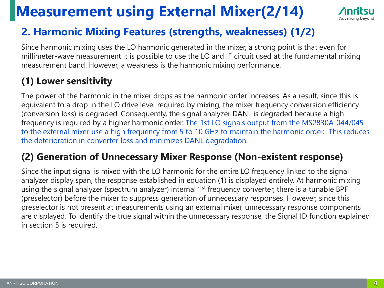### **Measurement using External Mixer(2/14)**



#### **2. Harmonic Mixing Features (strengths, weaknesses) (1/2)**

Since harmonic mixing uses the LO harmonic generated in the mixer, a strong point is that even for millimeter-wave measurement it is possible to use the LO and IF circuit used at the fundamental mixing measurement band. However, a weakness is the harmonic mixing performance.

#### **(1) Lower sensitivity**

The power of the harmonic in the mixer drops as the harmonic order increases. As a result, since this is equivalent to a drop in the LO drive level required by mixing, the mixer frequency conversion efficiency (conversion loss) is degraded. Consequently, the signal analyzer DANL is degraded because a high frequency is required by a higher harmonic order. The 1st LO signals output from the MS2830A-044/045 to the external mixer use a high frequency from 5 to 10 GHz to maintain the harmonic order. This reduces the deterioration in converter loss and minimizes DANL degradation.

#### **(2) Generation of Unnecessary Mixer Response (Non-existent response)**

Since the input signal is mixed with the LO harmonic for the entire LO frequency linked to the signal analyzer display span, the response established in equation (1) is displayed entirely. At harmonic mixing using the signal analyzer (spectrum analyzer) internal 1<sup>st</sup> frequency converter, there is a tunable BPF (preselector) before the mixer to suppress generation of unnecessary responses. However, since this preselector is not present at measurements using an external mixer, unnecessary response components are displayed. To identify the true signal within the unnecessary response, the Signal ID function explained in section 5 is required.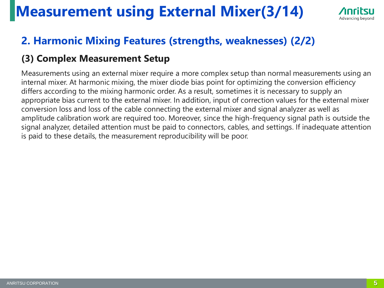### **Measurement using External Mixer(3/14)**



#### **2. Harmonic Mixing Features (strengths, weaknesses) (2/2)**

#### **(3) Complex Measurement Setup**

Measurements using an external mixer require a more complex setup than normal measurements using an internal mixer. At harmonic mixing, the mixer diode bias point for optimizing the conversion efficiency differs according to the mixing harmonic order. As a result, sometimes it is necessary to supply an appropriate bias current to the external mixer. In addition, input of correction values for the external mixer conversion loss and loss of the cable connecting the external mixer and signal analyzer as well as amplitude calibration work are required too. Moreover, since the high-frequency signal path is outside the signal analyzer, detailed attention must be paid to connectors, cables, and settings. If inadequate attention is paid to these details, the measurement reproducibility will be poor.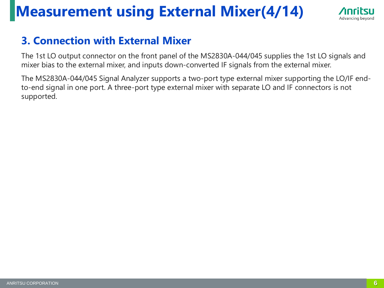### **Measurement using External Mixer(4/14)**



#### **3. Connection with External Mixer**

The 1st LO output connector on the front panel of the MS2830A-044/045 supplies the 1st LO signals and mixer bias to the external mixer, and inputs down-converted IF signals from the external mixer.

The MS2830A-044/045 Signal Analyzer supports a two-port type external mixer supporting the LO/IF endto-end signal in one port. A three-port type external mixer with separate LO and IF connectors is not supported.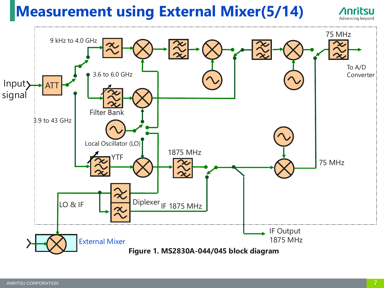### **Measurement using External Mixer(5/14)**

ATT Local Oscillator (LO) Input) signal To A/D Converter External Mixer 75 MHz 1875 MHz 75 MHz Filter Bank 9 kHz to 4.0 GHz 3.6 to 6.0 GHz 3.9 to 43 GHz IF Output 1875 MHz  $LO & IF$  Diplexer IF 1875 MHz YTF **Figure 1. MS2830A-044/045 block diagram**

Advancing beyond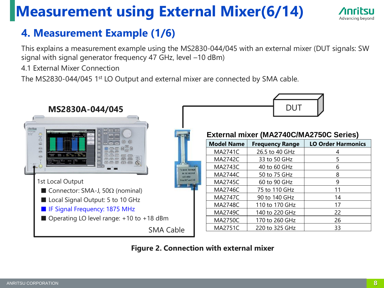### **Measurement using External Mixer(6/14)**

#### **4. Measurement Example (1/6)**

This explains a measurement example using the MS2830-044/045 with an external mixer (DUT signals: SW signal with signal generator frequency 47 GHz, level –10 dBm)

4.1 External Mixer Connection

The MS2830-044/045 1<sup>st</sup> LO Output and external mixer are connected by SMA cable.



**Figure 2. Connection with external mixer**

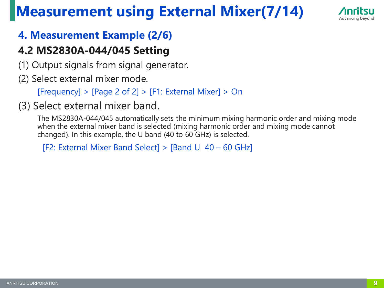### **Measurement using External Mixer(7/14)**



#### **4. Measurement Example (2/6)**

#### **4.2 MS2830A-044/045 Setting**

- (1) Output signals from signal generator.
- (2) Select external mixer mode.

 $[Frequency] > [Page 2 of 2] > [F1: External Mixed] > On$ 

#### (3) Select external mixer band.

The MS2830A-044/045 automatically sets the minimum mixing harmonic order and mixing mode when the external mixer band is selected (mixing harmonic order and mixing mode cannot changed). In this example, the U band (40 to 60 GHz) is selected.

[F2: External Mixer Band Select] > [Band U 40 – 60 GHz]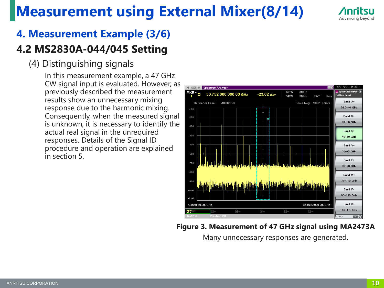### **Measurement using External Mixer(8/14)**



### **4. Measurement Example (3/6)**

#### **4.2 MS2830A-044/045 Setting**

#### (4) Distinguishing signals

In this measurement example, a 47 GHz CW signal input is evaluated. However, as previously described the measurement results show an unnecessary mixing response due to the harmonic mixing. Consequently, when the measured signal is unknown, it is necessary to identify the actual real signal in the unrequired responses. Details of the Signal ID procedure and operation are explained in section 5.



**Figure 3. Measurement of 47 GHz signal using MA2473A**

Many unnecessary responses are generated.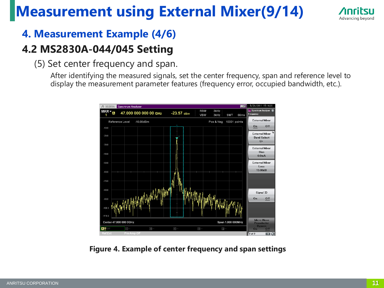### **Measurement using External Mixer(9/14)**



#### **4. Measurement Example (4/6)**

#### **4.2 MS2830A-044/045 Setting**

(5) Set center frequency and span.

After identifying the measured signals, set the center frequency, span and reference level to display the measurement parameter features (frequency error, occupied bandwidth, etc.).



**Figure 4. Example of center frequency and span settings**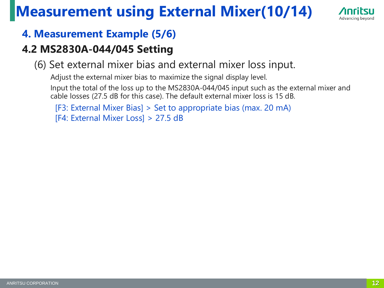### **Measurement using External Mixer(10/14)**



#### **4. Measurement Example (5/6)**

#### **4.2 MS2830A-044/045 Setting**

(6) Set external mixer bias and external mixer loss input.

Adjust the external mixer bias to maximize the signal display level.

Input the total of the loss up to the MS2830A-044/045 input such as the external mixer and cable losses (27.5 dB for this case). The default external mixer loss is 15 dB.

```
[F3: External Mixer Bias] > Set to appropriate bias (max. 20 mA)
[F4: External Mixer Loss] > 27.5 dB
```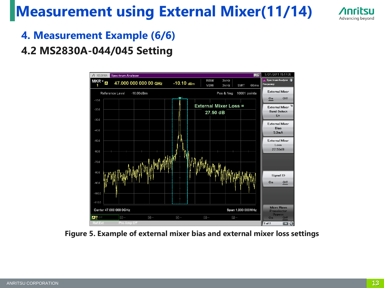### **Measurement using External Mixer(11/14)**



**4. Measurement Example (6/6)**

#### **4.2 MS2830A-044/045 Setting**



**Figure 5. Example of external mixer bias and external mixer loss settings**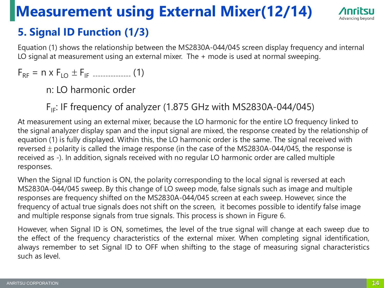### **Measurement using External Mixer(12/14)**



#### **5. Signal ID Function (1/3)**

Equation (1) shows the relationship between the MS2830A-044/045 screen display frequency and internal LO signal at measurement using an external mixer. The + mode is used at normal sweeping.

 $F_{RF} = n \times F_{LO} \pm F_{IF}$  --------------- (1)

n: LO harmonic order

#### $F_{IF}$ : IF frequency of analyzer (1.875 GHz with MS2830A-044/045)

At measurement using an external mixer, because the LO harmonic for the entire LO frequency linked to the signal analyzer display span and the input signal are mixed, the response created by the relationship of equation (1) is fully displayed. Within this, the LO harmonic order is the same. The signal received with reversed  $\pm$  polarity is called the image response (in the case of the MS2830A-044/045, the response is received as -). In addition, signals received with no regular LO harmonic order are called multiple responses.

When the Signal ID function is ON, the polarity corresponding to the local signal is reversed at each MS2830A-044/045 sweep. By this change of LO sweep mode, false signals such as image and multiple responses are frequency shifted on the MS2830A-044/045 screen at each sweep. However, since the frequency of actual true signals does not shift on the screen, it becomes possible to identify false image and multiple response signals from true signals. This process is shown in Figure 6.

However, when Signal ID is ON, sometimes, the level of the true signal will change at each sweep due to the effect of the frequency characteristics of the external mixer. When completing signal identification, always remember to set Signal ID to OFF when shifting to the stage of measuring signal characteristics such as level.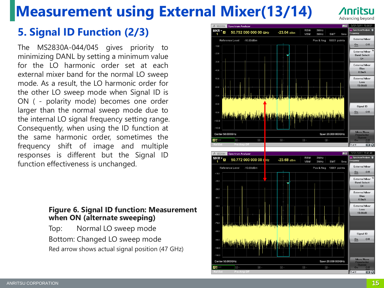### **Measurement using External Mixer(13/14)**

### Advancing beyond

#### **5. Signal ID Function (2/3)**

The MS2830A-044/045 gives priority to minimizing DANL by setting a minimum value for the LO harmonic order set at each external mixer band for the normal LO sweep mode. As a result, the LO harmonic order for the other LO sweep mode when Signal ID is ON ( - polarity mode) becomes one order larger than the normal sweep mode due to the internal LO signal frequency setting range. Consequently, when using the ID function at the same harmonic order, sometimes the frequency shift of image and multiple responses is different but the Signal ID function effectiveness is unchanged.

#### **Figure 6. Signal ID function: Measurement when ON (alternate sweeping)**

Top: Normal LO sweep mode Bottom: Changed LO sweep mode Red arrow shows actual signal position (47 GHz)



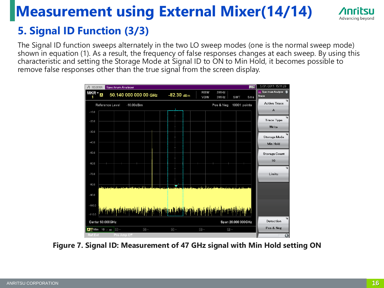### **Measurement using External Mixer(14/14)**



#### **5. Signal ID Function (3/3)**

The Signal ID function sweeps alternately in the two LO sweep modes (one is the normal sweep mode) shown in equation (1). As a result, the frequency of false responses changes at each sweep. By using this characteristic and setting the Storage Mode at Signal ID to ON to Min Hold, it becomes possible to remove false responses other than the true signal from the screen display.



**Figure 7. Signal ID: Measurement of 47 GHz signal with Min Hold setting ON**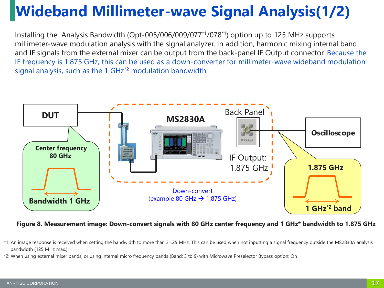## **Wideband Millimeter-wave Signal Analysis(1/2)**

Installing the Analysis Bandwidth (Opt-005/006/009/077\*1/078\*1) option up to 125 MHz supports millimeter-wave modulation analysis with the signal analyzer. In addition, harmonic mixing internal band and IF signals from the external mixer can be output from the back-panel IF Output connector. Because the IF frequency is 1.875 GHz, this can be used as a down-converter for millimeter-wave wideband modulation signal analysis, such as the 1 GHz<sup>\*2</sup> modulation bandwidth.



**Figure 8. Measurement image: Down-convert signals with 80 GHz center frequency and 1 GHz\* bandwidth to 1.875 GHz**

\*2: When using external mixer bands, or using internal micro frequency bands (Band; 3 to 9) with Microwave Preselector Bypass option: On

<sup>\*1:</sup> An image response is received when setting the bandwidth to more than 31.25 MHz. This can be used when not inputting a signal frequency outside the MS2830A analysis bandwidth (125 MHz max.).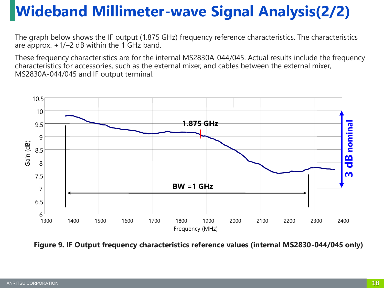## **Wideband Millimeter-wave Signal Analysis(2/2)**

The graph below shows the IF output (1.875 GHz) frequency reference characteristics. The characteristics are approx.  $+1/-2$  dB within the 1 GHz band.

These frequency characteristics are for the internal MS2830A-044/045. Actual results include the frequency characteristics for accessories, such as the external mixer, and cables between the external mixer, MS2830A-044/045 and IF output terminal.



**Figure 9. IF Output frequency characteristics reference values (internal MS2830-044/045 only)**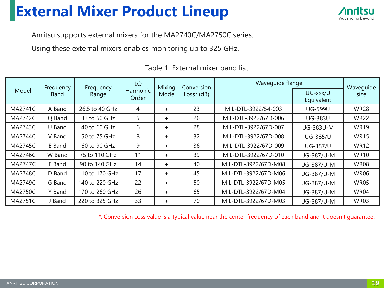### **External Mixer Product Lineup**



Anritsu supports external mixers for the MA2740C/MA2750C series.

Using these external mixers enables monitoring up to 325 GHz.

| Model          | Frequency<br><b>Band</b> | Frequency<br>Range | LO<br>Harmonic<br>Order | Mixing<br>Mode | Conversion<br>$Loss*$ (dB) | Wavequide flange     |                        | Waveguide   |
|----------------|--------------------------|--------------------|-------------------------|----------------|----------------------------|----------------------|------------------------|-------------|
|                |                          |                    |                         |                |                            |                      | UG-xxx/U<br>Equivalent | size        |
| <b>MA2741C</b> | A Band                   | 26.5 to 40 GHz     | 4                       | $+$            | 23                         | MIL-DTL-3922/54-003  | <b>UG-599U</b>         | <b>WR28</b> |
| <b>MA2742C</b> | Q Band                   | 33 to 50 GHz       | 5                       | $+$            | 26                         | MIL-DTL-3922/67D-006 | <b>UG-383U</b>         | <b>WR22</b> |
| MA2743C        | U Band                   | 40 to 60 GHz       | 6                       | $+$            | 28                         | MIL-DTL-3922/67D-007 | <b>UG-383U-M</b>       | <b>WR19</b> |
| <b>MA2744C</b> | V Band                   | 50 to 75 GHz       | 8                       | $+$            | 32                         | MIL-DTL-3922/67D-008 | <b>UG-385/U</b>        | <b>WR15</b> |
| <b>MA2745C</b> | E Band                   | 60 to 90 GHz       | 9                       | $+$            | 36                         | MIL-DTL-3922/67D-009 | <b>UG-387/U</b>        | <b>WR12</b> |
| <b>MA2746C</b> | W Band                   | 75 to 110 GHz      | 11                      | $+$            | 39                         | MIL-DTL-3922/67D-010 | UG-387/U-M             | <b>WR10</b> |
| <b>MA2747C</b> | F Band                   | 90 to 140 GHz      | 14                      | $+$            | 40                         | MIL-DTL-3922/67D-M08 | UG-387/U-M             | <b>WR08</b> |
| <b>MA2748C</b> | D Band                   | 110 to 170 GHz     | 17                      | $+$            | 45                         | MIL-DTL-3922/67D-M06 | UG-387/U-M             | <b>WR06</b> |
| MA2749C        | G Band                   | 140 to 220 GHz     | 22                      | $+$            | 50                         | MIL-DTL-3922/67D-M05 | UG-387/U-M             | <b>WR05</b> |
| <b>MA2750C</b> | Y Band                   | 170 to 260 GHz     | 26                      | $+$            | 65                         | MIL-DTL-3922/67D-M04 | UG-387/U-M             | <b>WR04</b> |
| <b>MA2751C</b> | J Band                   | 220 to 325 GHz     | 33                      | $+$            | 70                         | MIL-DTL-3922/67D-M03 | UG-387/U-M             | <b>WR03</b> |

Table 1. External mixer band list

\*: Conversion Loss value is a typical value near the center frequency of each band and it doesn't guarantee.